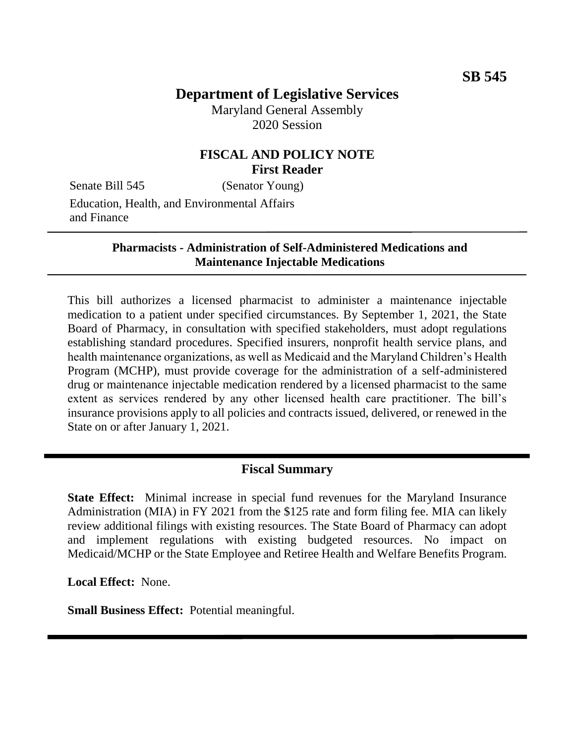# **Department of Legislative Services**

Maryland General Assembly 2020 Session

### **FISCAL AND POLICY NOTE First Reader**

Senate Bill 545 (Senator Young)

Education, Health, and Environmental Affairs and Finance

#### **Pharmacists - Administration of Self-Administered Medications and Maintenance Injectable Medications**

This bill authorizes a licensed pharmacist to administer a maintenance injectable medication to a patient under specified circumstances. By September 1, 2021, the State Board of Pharmacy, in consultation with specified stakeholders, must adopt regulations establishing standard procedures. Specified insurers, nonprofit health service plans, and health maintenance organizations, as well as Medicaid and the Maryland Children's Health Program (MCHP), must provide coverage for the administration of a self-administered drug or maintenance injectable medication rendered by a licensed pharmacist to the same extent as services rendered by any other licensed health care practitioner. The bill's insurance provisions apply to all policies and contracts issued, delivered, or renewed in the State on or after January 1, 2021.

### **Fiscal Summary**

**State Effect:** Minimal increase in special fund revenues for the Maryland Insurance Administration (MIA) in FY 2021 from the \$125 rate and form filing fee. MIA can likely review additional filings with existing resources. The State Board of Pharmacy can adopt and implement regulations with existing budgeted resources. No impact on Medicaid/MCHP or the State Employee and Retiree Health and Welfare Benefits Program.

**Local Effect:** None.

**Small Business Effect:** Potential meaningful.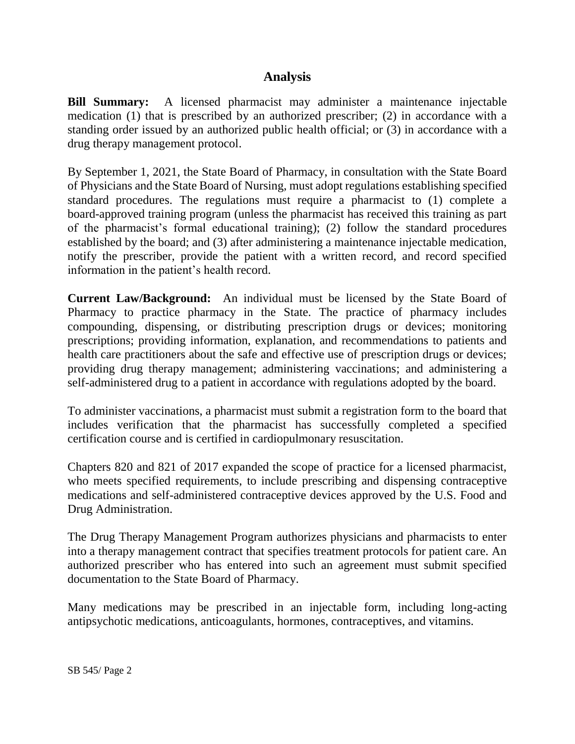## **Analysis**

**Bill Summary:** A licensed pharmacist may administer a maintenance injectable medication (1) that is prescribed by an authorized prescriber; (2) in accordance with a standing order issued by an authorized public health official; or (3) in accordance with a drug therapy management protocol.

By September 1, 2021, the State Board of Pharmacy, in consultation with the State Board of Physicians and the State Board of Nursing, must adopt regulations establishing specified standard procedures. The regulations must require a pharmacist to (1) complete a board-approved training program (unless the pharmacist has received this training as part of the pharmacist's formal educational training); (2) follow the standard procedures established by the board; and (3) after administering a maintenance injectable medication, notify the prescriber, provide the patient with a written record, and record specified information in the patient's health record.

**Current Law/Background:** An individual must be licensed by the State Board of Pharmacy to practice pharmacy in the State. The practice of pharmacy includes compounding, dispensing, or distributing prescription drugs or devices; monitoring prescriptions; providing information, explanation, and recommendations to patients and health care practitioners about the safe and effective use of prescription drugs or devices; providing drug therapy management; administering vaccinations; and administering a self-administered drug to a patient in accordance with regulations adopted by the board.

To administer vaccinations, a pharmacist must submit a registration form to the board that includes verification that the pharmacist has successfully completed a specified certification course and is certified in cardiopulmonary resuscitation.

Chapters 820 and 821 of 2017 expanded the scope of practice for a licensed pharmacist, who meets specified requirements, to include prescribing and dispensing contraceptive medications and self-administered contraceptive devices approved by the U.S. Food and Drug Administration.

The Drug Therapy Management Program authorizes physicians and pharmacists to enter into a therapy management contract that specifies treatment protocols for patient care. An authorized prescriber who has entered into such an agreement must submit specified documentation to the State Board of Pharmacy.

Many medications may be prescribed in an injectable form, including long-acting antipsychotic medications, anticoagulants, hormones, contraceptives, and vitamins.